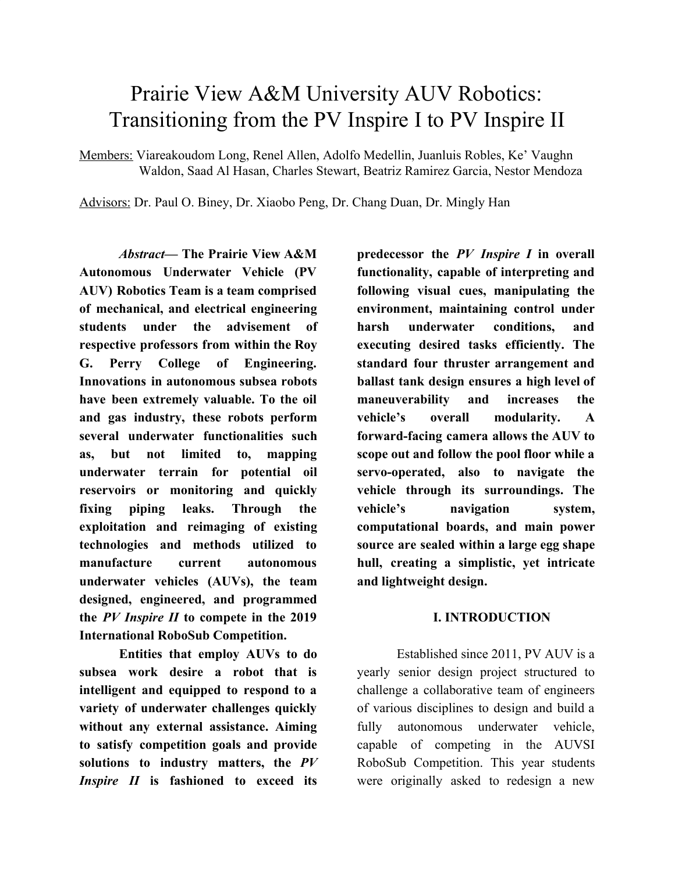# Prairie View A&M University AUV Robotics: Transitioning from the PV Inspire I to PV Inspire II

Members: Viareakoudom Long, Renel Allen, Adolfo Medellin, Juanluis Robles, Ke' Vaughn Waldon, Saad Al Hasan, Charles Stewart, Beatriz Ramirez Garcia, Nestor Mendoza

Advisors: Dr. Paul O. Biney, Dr. Xiaobo Peng, Dr. Chang Duan, Dr. Mingly Han

*Abstract***— The Prairie View A&M Autonomous Underwater Vehicle (PV AUV) Robotics Team is a team comprised of mechanical, and electrical engineering students under the advisement of respective professors from within the Roy G. Perry College of Engineering. Innovations in autonomous subsea robots have been extremely valuable. To the oil and gas industry, these robots perform several underwater functionalities such as, but not limited to, mapping underwater terrain for potential oil reservoirs or monitoring and quickly fixing piping leaks. Through the exploitation and reimaging of existing technologies and methods utilized to manufacture current autonomous underwater vehicles (AUVs), the team designed, engineered, and programmed the** *PV Inspire II* **to compete in the 2019 International RoboSub Competition.**

**Entities that employ AUVs to do subsea work desire a robot that is intelligent and equipped to respond to a variety of underwater challenges quickly without any external assistance. Aiming to satisfy competition goals and provide solutions to industry matters, the** *PV Inspire II* **is fashioned to exceed its**

**predecessor the** *PV Inspire I* **in overall functionality, capable of interpreting and following visual cues, manipulating the environment, maintaining control under harsh underwater conditions, and executing desired tasks efficiently. The standard four thruster arrangement and ballast tank design ensures a high level of maneuverability and increases the vehicle's overall modularity. A forward-facing camera allows the AUV to scope out and follow the pool floor while a servo-operated, also to navigate the vehicle through its surroundings. The vehicle's navigation system, computational boards, and main power source are sealed within a large egg shape hull, creating a simplistic, yet intricate and lightweight design.**

# **I. INTRODUCTION**

Established since 2011, PV AUV is a yearly senior design project structured to challenge a collaborative team of engineers of various disciplines to design and build a fully autonomous underwater vehicle, capable of competing in the AUVSI RoboSub Competition. This year students were originally asked to redesign a new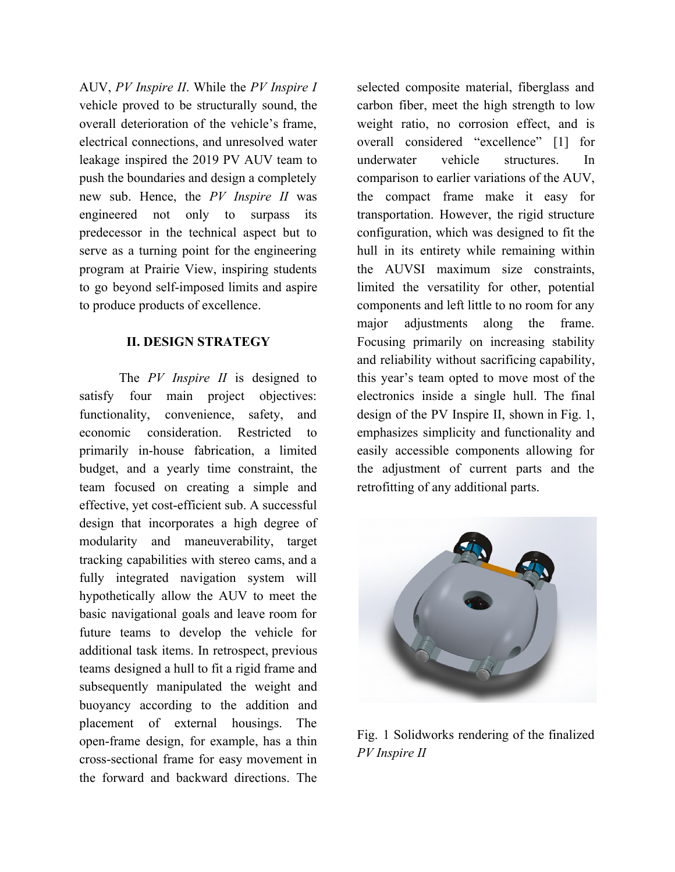AUV, *PV Inspire II*. While the *PV Inspire I* vehicle proved to be structurally sound, the overall deterioration of the vehicle's frame, electrical connections, and unresolved water leakage inspired the 2019 PV AUV team to push the boundaries and design a completely new sub. Hence, the *PV Inspire II* was engineered not only to surpass its predecessor in the technical aspect but to serve as a turning point for the engineering program at Prairie View, inspiring students to go beyond self-imposed limits and aspire to produce products of excellence.

### **II. DESIGN STRATEGY**

The *PV Inspire II* is designed to satisfy four main project objectives: functionality, convenience, safety, and economic consideration. Restricted to primarily in-house fabrication, a limited budget, and a yearly time constraint, the team focused on creating a simple and effective, yet cost-efficient sub. A successful design that incorporates a high degree of modularity and maneuverability, target tracking capabilities with stereo cams, and a fully integrated navigation system will hypothetically allow the AUV to meet the basic navigational goals and leave room for future teams to develop the vehicle for additional task items. In retrospect, previous teams designed a hull to fit a rigid frame and subsequently manipulated the weight and buoyancy according to the addition and placement of external housings. The open-frame design, for example, has a thin cross-sectional frame for easy movement in the forward and backward directions. The

selected composite material, fiberglass and carbon fiber, meet the high strength to low weight ratio, no corrosion effect, and is overall considered "excellence" [1] for underwater vehicle structures. In comparison to earlier variations of the AUV, the compact frame make it easy for transportation. However, the rigid structure configuration, which was designed to fit the hull in its entirety while remaining within the AUVSI maximum size constraints, limited the versatility for other, potential components and left little to no room for any major adjustments along the frame. Focusing primarily on increasing stability and reliability without sacrificing capability, this year's team opted to move most of the electronics inside a single hull. The final design of the PV Inspire II, shown in Fig. 1, emphasizes simplicity and functionality and easily accessible components allowing for the adjustment of current parts and the retrofitting of any additional parts.



Fig. 1 Solidworks rendering of the finalized *PV Inspire II*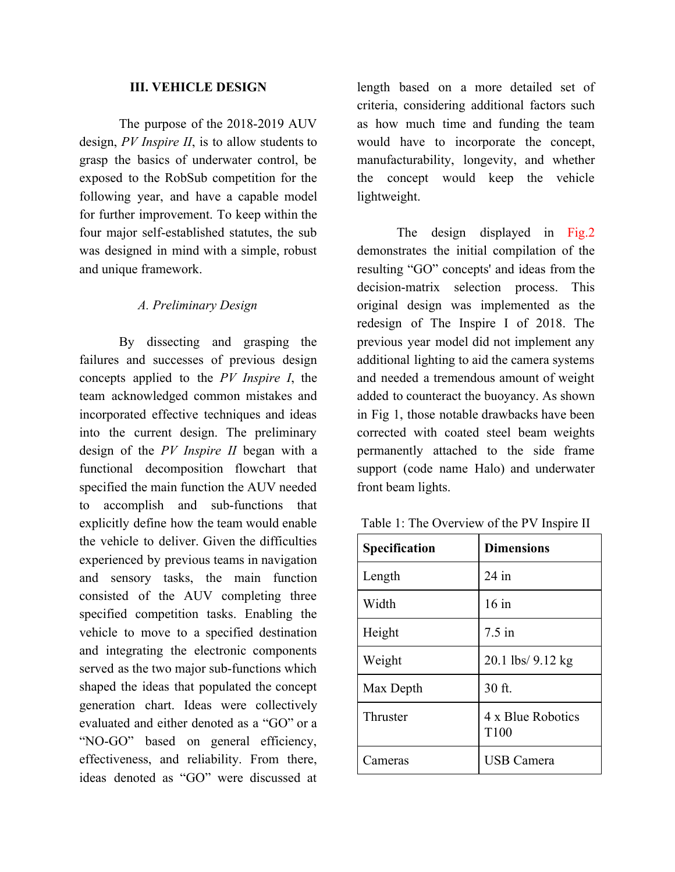### **III. VEHICLE DESIGN**

The purpose of the 2018-2019 AUV design, *PV Inspire II*, is to allow students to grasp the basics of underwater control, be exposed to the RobSub competition for the following year, and have a capable model for further improvement. To keep within the four major self-established statutes, the sub was designed in mind with a simple, robust and unique framework.

# *A. Preliminary Design*

By dissecting and grasping the failures and successes of previous design concepts applied to the *PV Inspire I*, the team acknowledged common mistakes and incorporated effective techniques and ideas into the current design. The preliminary design of the *PV Inspire II* began with a functional decomposition flowchart that specified the main function the AUV needed to accomplish and sub-functions that explicitly define how the team would enable the vehicle to deliver. Given the difficulties experienced by previous teams in navigation and sensory tasks, the main function consisted of the AUV completing three specified competition tasks. Enabling the vehicle to move to a specified destination and integrating the electronic components served as the two major sub-functions which shaped the ideas that populated the concept generation chart. Ideas were collectively evaluated and either denoted as a "GO" or a "NO-GO" based on general efficiency, effectiveness, and reliability. From there, ideas denoted as "GO" were discussed at

length based on a more detailed set of criteria, considering additional factors such as how much time and funding the team would have to incorporate the concept, manufacturability, longevity, and whether the concept would keep the vehicle lightweight.

The design displayed in Fig.2 demonstrates the initial compilation of the resulting "GO" concepts' and ideas from the decision-matrix selection process. This original design was implemented as the redesign of The Inspire I of 2018. The previous year model did not implement any additional lighting to aid the camera systems and needed a tremendous amount of weight added to counteract the buoyancy. As shown in Fig 1, those notable drawbacks have been corrected with coated steel beam weights permanently attached to the side frame support (code name Halo) and underwater front beam lights.

| Table 1: The Overview of the PV Inspire II |  |  |
|--------------------------------------------|--|--|
|--------------------------------------------|--|--|

| <b>Specification</b> | <b>Dimensions</b>         |  |
|----------------------|---------------------------|--|
| Length               | $24$ in                   |  |
| Width                | $16$ in                   |  |
| Height               | $7.5$ in                  |  |
| Weight               | 20.1 lbs/ 9.12 kg         |  |
| Max Depth            | 30 ft.                    |  |
| Thruster             | 4 x Blue Robotics<br>T100 |  |
| Cameras              | <b>USB Camera</b>         |  |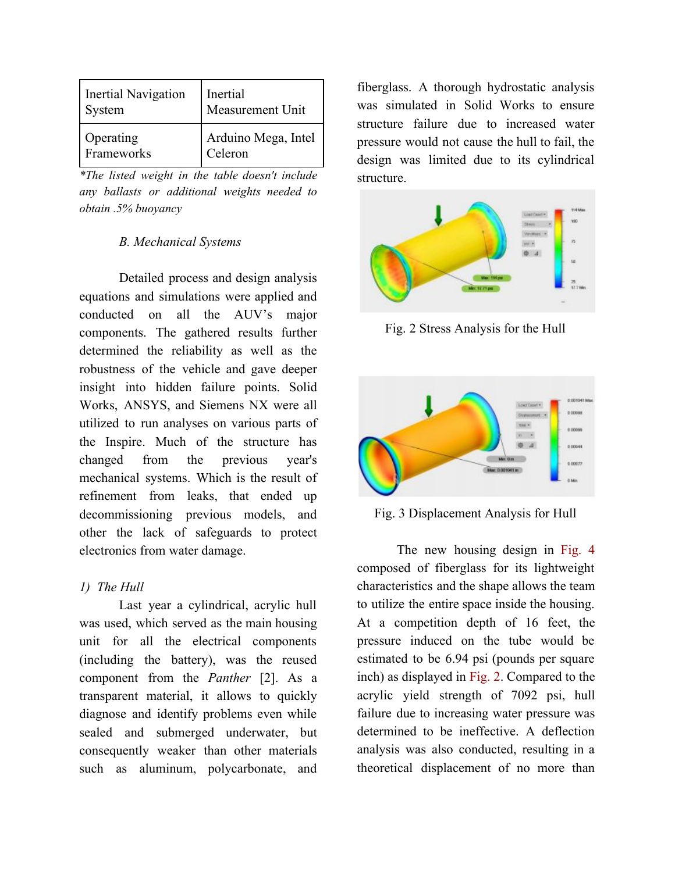| Inertial Navigation | Inertial            |
|---------------------|---------------------|
| System              | Measurement Unit    |
| Operating           | Arduino Mega, Intel |
| Frameworks          | Celeron             |

*\*The listed weight in the table doesn't include any ballasts or additional weights needed to obtain .5% buoyancy*

# *B. Mechanical Systems*

Detailed process and design analysis equations and simulations were applied and conducted on all the AUV's major components. The gathered results further determined the reliability as well as the robustness of the vehicle and gave deeper insight into hidden failure points. Solid Works, ANSYS, and Siemens NX were all utilized to run analyses on various parts of the Inspire. Much of the structure has changed from the previous year's mechanical systems. Which is the result of refinement from leaks, that ended up decommissioning previous models, and other the lack of safeguards to protect electronics from water damage.

# *1) The Hull*

Last year a cylindrical, acrylic hull was used, which served as the main housing unit for all the electrical components (including the battery), was the reused component from the *Panther* [2]. As a transparent material, it allows to quickly diagnose and identify problems even while sealed and submerged underwater, but consequently weaker than other materials such as aluminum, polycarbonate, and

fiberglass. A thorough hydrostatic analysis was simulated in Solid Works to ensure structure failure due to increased water pressure would not cause the hull to fail, the design was limited due to its cylindrical structure.



Fig. 2 Stress Analysis for the Hull



Fig. 3 Displacement Analysis for Hull

The new housing design in Fig. 4 composed of fiberglass for its lightweight characteristics and the shape allows the team to utilize the entire space inside the housing. At a competition depth of 16 feet, the pressure induced on the tube would be estimated to be 6.94 psi (pounds per square inch) as displayed in Fig. 2. Compared to the acrylic yield strength of 7092 psi, hull failure due to increasing water pressure was determined to be ineffective. A deflection analysis was also conducted, resulting in a theoretical displacement of no more than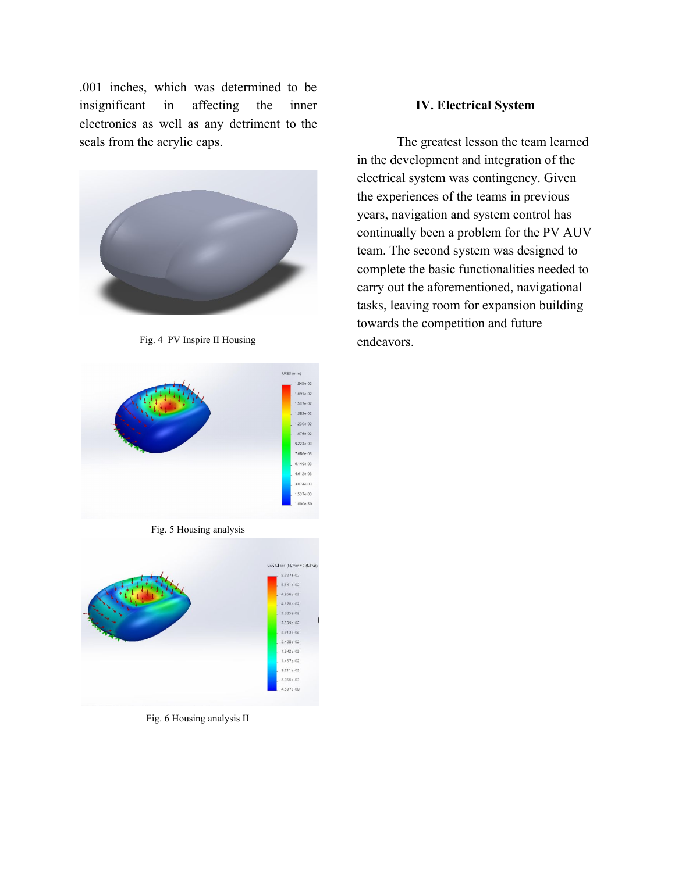.001 inches, which was determined to be insignificant in affecting the inner electronics as well as any detriment to the seals from the acrylic caps.



Fig. 4 PV Inspire II Housing



Fig. 5 Housing analysis



Fig. 6 Housing analysis II

### **IV. Electrical System**

The greatest lesson the team learned in the development and integration of the electrical system was contingency. Given the experiences of the teams in previous years, navigation and system control has continually been a problem for the PV AUV team. The second system was designed to complete the basic functionalities needed to carry out the aforementioned, navigational tasks, leaving room for expansion building towards the competition and future endeavors.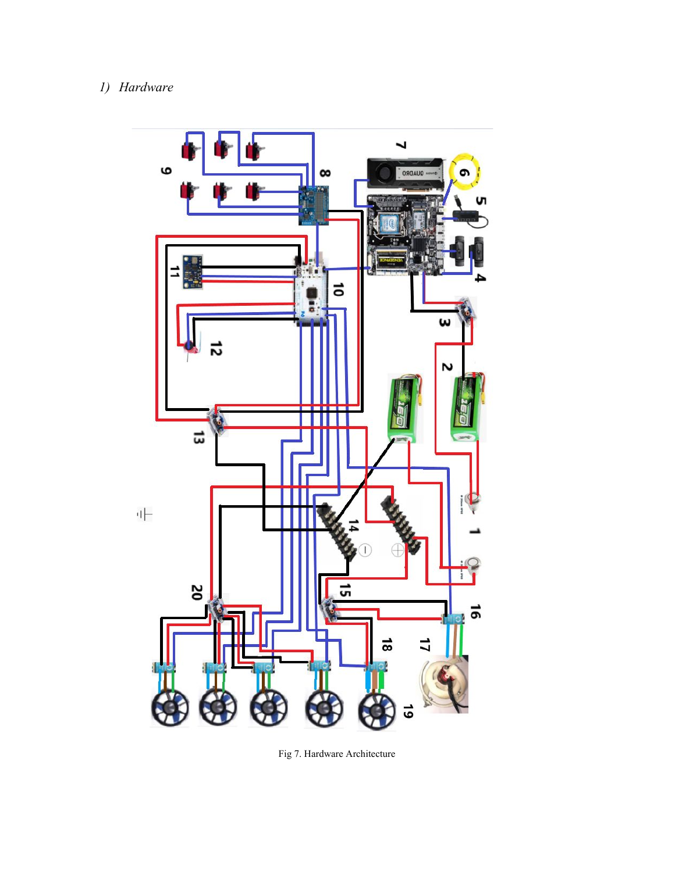# *1) Hardware*



Fig 7. Hardware Architecture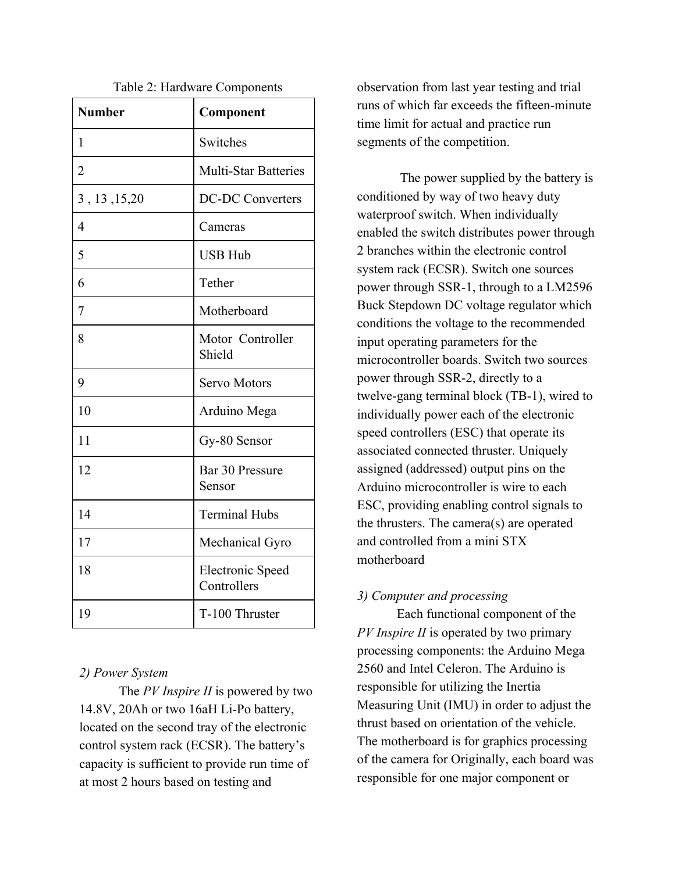| <b>Number</b>  | Component                              |
|----------------|----------------------------------------|
| 1              | Switches                               |
| $\overline{2}$ | <b>Multi-Star Batteries</b>            |
| 3, 13, 15, 20  | <b>DC-DC Converters</b>                |
| $\overline{4}$ | Cameras                                |
| 5              | <b>USB Hub</b>                         |
| 6              | Tether                                 |
| $\overline{7}$ | Motherboard                            |
| 8              | Motor Controller<br>Shield             |
| 9              | <b>Servo Motors</b>                    |
| 10             | Arduino Mega                           |
| 11             | Gy-80 Sensor                           |
| 12             | Bar 30 Pressure<br>Sensor              |
| 14             | <b>Terminal Hubs</b>                   |
| 17             | Mechanical Gyro                        |
| 18             | <b>Electronic Speed</b><br>Controllers |
| 19             | T-100 Thruster                         |

### Table 2: Hardware Components

### *2) Power System*

The *PV Inspire II* is powered by two 14.8V, 20Ah or two 16aH Li-Po battery, located on the second tray of the electronic control system rack (ECSR). The battery's capacity is sufficient to provide run time of at most 2 hours based on testing and

observation from last year testing and trial runs of which far exceeds the fifteen-minute time limit for actual and practice run segments of the competition.

 The power supplied by the battery is conditioned by way of two heavy duty waterproof switch. When individually enabled the switch distributes power through 2 branches within the electronic control system rack (ECSR). Switch one sources power through SSR-1, through to a LM2596 Buck Stepdown DC voltage regulator which conditions the voltage to the recommended input operating parameters for the microcontroller boards. Switch two sources power through SSR-2, directly to a twelve-gang terminal block (TB-1), wired to individually power each of the electronic speed controllers (ESC) that operate its associated connected thruster. Uniquely assigned (addressed) output pins on the Arduino microcontroller is wire to each ESC, providing enabling control signals to the thrusters. The camera(s) are operated and controlled from a mini STX motherboard

# *3) Computer and processing*

Each functional component of the *PV Inspire II* is operated by two primary processing components: the Arduino Mega 2560 and Intel Celeron. The Arduino is responsible for utilizing the Inertia Measuring Unit (IMU) in order to adjust the thrust based on orientation of the vehicle. The motherboard is for graphics processing of the camera for Originally, each board was responsible for one major component or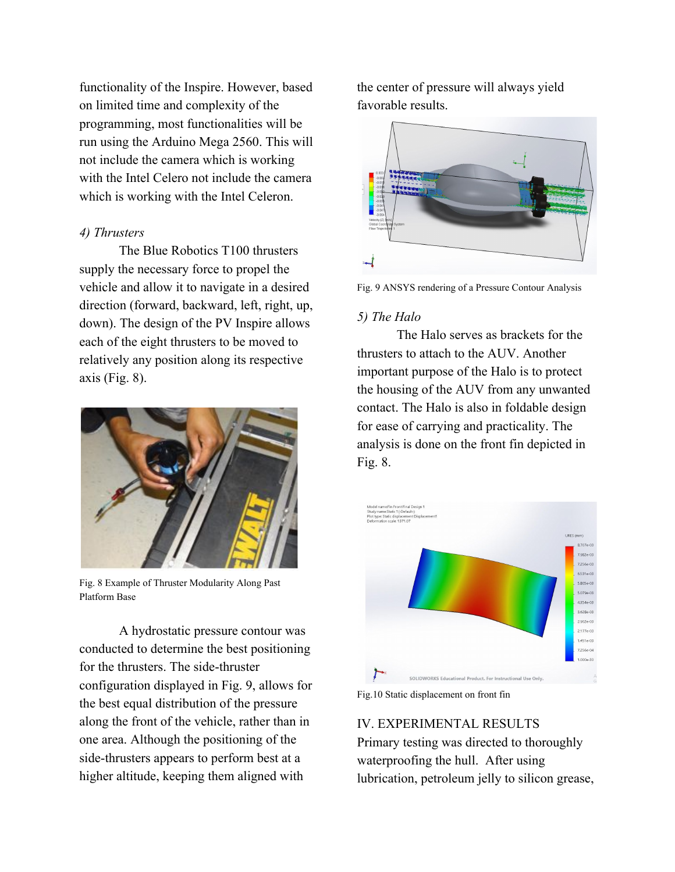functionality of the Inspire. However, based on limited time and complexity of the programming, most functionalities will be run using the Arduino Mega 2560. This will not include the camera which is working with the Intel Celero not include the camera which is working with the Intel Celeron.

### *4) Thrusters*

The Blue Robotics T100 thrusters supply the necessary force to propel the vehicle and allow it to navigate in a desired direction (forward, backward, left, right, up, down). The design of the PV Inspire allows each of the eight thrusters to be moved to relatively any position along its respective axis (Fig. 8).



Fig. 8 Example of Thruster Modularity Along Past Platform Base

A hydrostatic pressure contour was conducted to determine the best positioning for the thrusters. The side-thruster configuration displayed in Fig. 9, allows for the best equal distribution of the pressure along the front of the vehicle, rather than in one area. Although the positioning of the side-thrusters appears to perform best at a higher altitude, keeping them aligned with

the center of pressure will always yield favorable results.



Fig. 9 ANSYS rendering of a Pressure Contour Analysis

#### *5) The Halo*

The Halo serves as brackets for the thrusters to attach to the AUV. Another important purpose of the Halo is to protect the housing of the AUV from any unwanted contact. The Halo is also in foldable design for ease of carrying and practicality. The analysis is done on the front fin depicted in Fig. 8.



Fig.10 Static displacement on front fin

IV. EXPERIMENTAL RESULTS Primary testing was directed to thoroughly waterproofing the hull. After using lubrication, petroleum jelly to silicon grease,